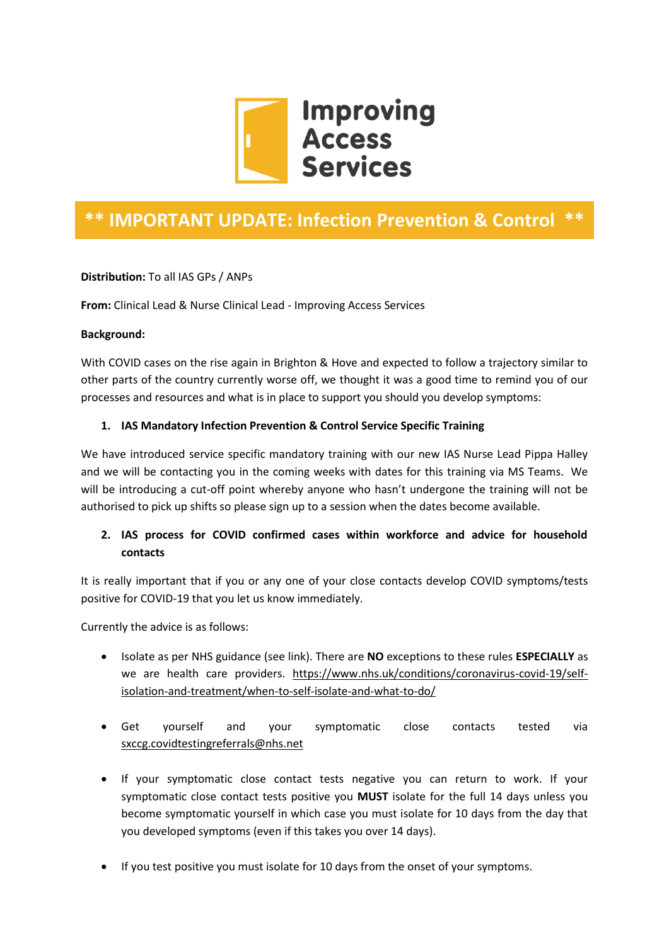

# **\*\* IMPORTANT UPDATE: Infection Prevention & Control \*\***

**Distribution:** To all IAS GPs / ANPs

**From:** Clinical Lead & Nurse Clinical Lead - Improving Access Services

#### **Background:**

With COVID cases on the rise again in Brighton & Hove and expected to follow a trajectory similar to other parts of the country currently worse off, we thought it was a good time to remind you of our processes and resources and what is in place to support you should you develop symptoms:

#### **1. IAS Mandatory Infection Prevention & Control Service Specific Training**

We have introduced service specific mandatory training with our new IAS Nurse Lead Pippa Halley and we will be contacting you in the coming weeks with dates for this training via MS Teams. We will be introducing a cut-off point whereby anyone who hasn't undergone the training will not be authorised to pick up shifts so please sign up to a session when the dates become available.

# **2. IAS process for COVID confirmed cases within workforce and advice for household contacts**

It is really important that if you or any one of your close contacts develop COVID symptoms/tests positive for COVID-19 that you let us know immediately.

Currently the advice is as follows:

- Isolate as per NHS guidance (see link). There are **NO** exceptions to these rules **ESPECIALLY** as we are health care providers. [https://www.nhs.uk/conditions/coronavirus-covid-19/self](https://www.nhs.uk/conditions/coronavirus-covid-19/self-isolation-and-treatment/when-to-self-isolate-and-what-to-do/)[isolation-and-treatment/when-to-self-isolate-and-what-to-do/](https://www.nhs.uk/conditions/coronavirus-covid-19/self-isolation-and-treatment/when-to-self-isolate-and-what-to-do/)
- Get yourself and your symptomatic close contacts tested via [sxccg.covidtestingreferrals@nhs.net](mailto:sxccg.covidtestingreferrals@nhs.net)
- If your symptomatic close contact tests negative you can return to work. If your symptomatic close contact tests positive you **MUST** isolate for the full 14 days unless you become symptomatic yourself in which case you must isolate for 10 days from the day that you developed symptoms (even if this takes you over 14 days).
- If you test positive you must isolate for 10 days from the onset of your symptoms.